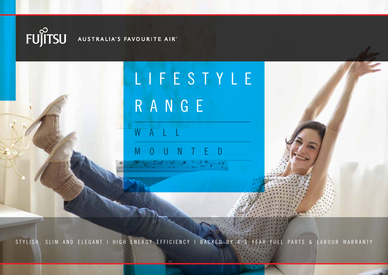

LIFESTYLE R A N G E

 $A \perp$ 

MOUNTED

STYLISH, SLIM AND ELEGANT I HIGH ENERGY EFFICIENCY I BACKED BY A 5 YEAR FULL PARTS & LABOUR WARRANTY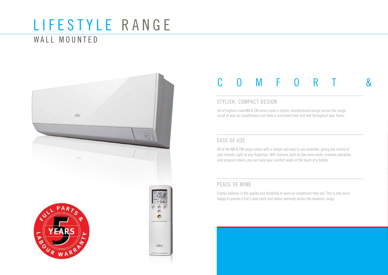## LIFESTYLE RANGE

### WALL MOUNTED



### C O M F O R T &

#### STYLISH, COMPACT DESIGN

All of Fujitsu's new KM & CM series have a stylish, standardised design across the range, so all of your air conditioners can have a consistent look and feel throughout your home.

### EASE OF USE

All of the KM & CM range comes with a simple and easy to use controller, giving you control of your climate, right at your fingertips. With features such as low noise mode, economy operation, and program timers, you can tailor your comfort needs at the touch of a button.

### PEACE OF MIND

Fujitsu believes in the quality and reliability of every air conditioner they sell. This is why we're happy to provide a full 5 year parts and labour warranty across the domestic range.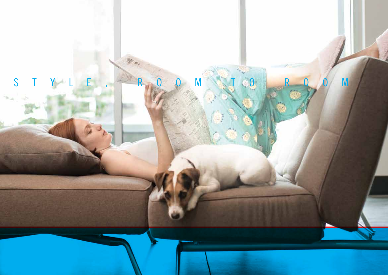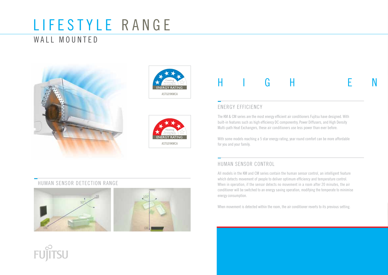## LIFESTYLE RANGE

### WALL MOUNTED







## H I G H E N

### ENERGY EFFICIENCY

The KM & CM series are the most energy efficient air conditioners Fujitsu have designed. With built-in features such as high efficiency DC componentry, Power Diffusers, and High Density Multi-path Heat Exchangers, these air conditioners use less power than ever before.

With some models reaching a 5 star energy rating, year round comfort can be more affordable for you and your family.

### HUMAN SENSOR CONTROL

All models in the KM and CM series contain the human sensor control, an intelligent feature which detects movement of people to deliver optimum efficiency and temperature control. When in operation, if the sensor detects no movement in a room after 20 minutes, the air conditioner will be switched to an energy saving operation, modifying the temperate to minimise energy consumption.

When movement is detected within the room, the air conditioner reverts to its previous setting.

### HUMAN SENSOR DETECTION RANGE

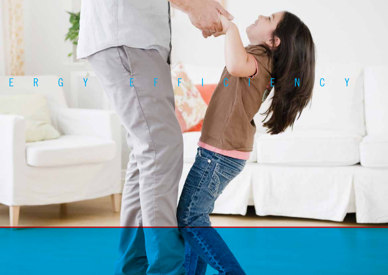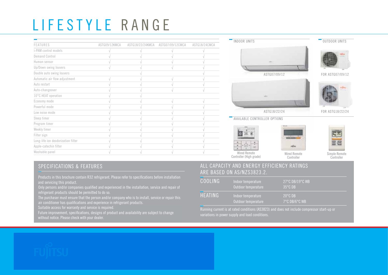# LIFESTYLE RANGE

| <b>Contract Contract</b>           |               |                  |                  |               |
|------------------------------------|---------------|------------------|------------------|---------------|
| FEATURES                           | ASTG09/12KMCA | ASTG18/22/24KMCA | ASTG07/09/12CMCA | ASTG18/24CMCA |
| i-PAM control models               |               |                  |                  |               |
| Demand Control                     |               |                  |                  |               |
| Human sensor                       |               |                  |                  |               |
| Up/Down swing louvers              |               |                  |                  |               |
| Double auto swing louvers          |               |                  |                  |               |
| Automatic air flow adjustment      |               |                  |                  |               |
| Auto restart                       |               |                  |                  |               |
| Auto-changeover                    |               |                  |                  |               |
| 10°C HEAT operation                |               |                  |                  |               |
| Economy mode                       |               |                  |                  |               |
| Powerful mode                      |               |                  |                  |               |
| Low noise mode                     |               |                  |                  |               |
| Sleep timer                        |               |                  |                  |               |
| Program timer                      |               |                  |                  |               |
| Weekly timer                       |               |                  |                  |               |
| Filter sign                        |               |                  |                  |               |
| Long-life ion deodorization filter |               |                  |                  |               |
| Apple-catechin filter              |               |                  |                  |               |
| Washable panel                     |               |                  |                  |               |
|                                    |               |                  |                  |               |



Wired Remote Controller (High grade)

Wired Remote Controller Outdoor Sound Pressure dbA 47 49 47 49 52 46 47 49 47 52

Simple Remote Controller

Max Height Difference m 15 15 20 20 20 15 15 15 20 20

### **SPECIFICATIONS & FEATURES**

Products in this brochure contain R32 refrigerant. Please refer to specifications before installation A servicing this product. ARE BASED ON AS/NZS3823.2.

Only persons and/or companies qualified and experienced in the installation, service and repair of refrigerant products should be permitted to do so.

remgerant products should be permitted to do so.<br>The purchaser must ensure that the person and/or company who is to install, service or repair this air conditioner has qualifications and experience in refrigerant products.

suitable access for warranty and service is required.<br>Future improvement, specifications, designs of product and availability are subject to change without notice. Please check with your dealer. without notice. Please check with your dealer.Future improvement, specifications, designs of product and availability are subject to change

#### ALL CAPACITY AND ENERGY EFFICIENCY RATINGS AND RESERVE THE SOUND POWER  $\sim$ ARE BASED ON AS/NZS3823.2.  $\mathcal{A}$  . And  $\mathcal{A}$  200  $\mathcal{A}$  200  $\mathcal{A}$  200  $\mathcal{A}$  200  $\mathcal{A}$  311 1941 200 258 311 194194 200 255 311 1941

| . .<br><b>COOLING</b> | 27°C DB/19°C WB<br>Indoor temperature<br>35°C DB<br>Outdoor temperature        |
|-----------------------|--------------------------------------------------------------------------------|
| HEATING               | $20^{\circ}$ CDB<br>Indoor temperature<br>7°C DB/6°C WB<br>Outdoor temperature |

Running current is at rated conditions (AS3823) and does not include compressor start-up or variations in power supply and load conditions.  $M_{\rm e}$  ,  $M_{\rm e}$  (20)  $20$  (20)  $20$  (20) 30 (20) 30 (20) 30 (20) 30 (20) 30 (20) 30 (20) 30 (20) 30 (20) 30 (20) 30 (20) 30 (20) 30 (20) 30 (20) 30 (20) 30 (20) 30 (20) 30 (20) 30 (20) 30 (20) 30 (20) 30 (20) 30 (20)

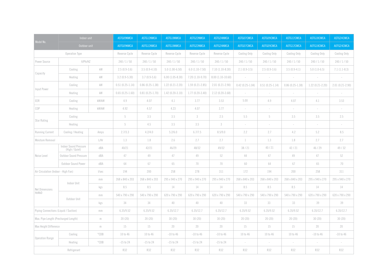| Model No.                             | Indoor unit                             |                    | ASTG09KMCA        | ASTG12KMCA          | ASTG18KMCA          | ASTG22KMCA          | ASTG24KMCA          | ASTG07CMCA        | ASTG09CMCA               | ASTG12CMCA        | ASTG18CMCA               | ASTG24CMCA          |
|---------------------------------------|-----------------------------------------|--------------------|-------------------|---------------------|---------------------|---------------------|---------------------|-------------------|--------------------------|-------------------|--------------------------|---------------------|
|                                       |                                         | Outdoor unit       |                   | AOTG12KMCA          | AOTG18KMCA          | AOTG22KMCA          | AOTG24KMCA          | AOTG07CMCA        | AOTG09CMCA               | AOTG12CMCA        | AOTG18CMCA               | AOTG24CMCA          |
| Operation Type                        |                                         | Reverse Cycle      | Reverse Cycle     | Reverse Cycle       | Reverse Cycle       | Reverse Cycle       | Cooling Only        | Cooling Only      | Cooling Only             | Cooling Only      | Cooling Only             |                     |
| Power Source                          | V/Ph/HZ                                 |                    | 240/1/50          | 240/1/50            | 240 / 1 / 50        | 240/1/50            | 240/1/50            | 240/1/50          | 240/1/50                 | 240/1/50          | 240/1/50                 | 240/1/50            |
| Capacity                              | Cooling                                 | kW                 | $2.5(0.9-3.6)$    | $3.5(0.9-4.10)$     | $5.0(1.00-6.50)$    | $6.0(1.10-7.50)$    | $7.10(1.10-8.30)$   | $2.1(0.9-3.5)$    | $2.5(0.9-3.6)$           | $3.5(0.9-4.1)$    | $5.0(1.0-6.5)$           | $7.1(1.1-8.3)$      |
|                                       | Heating                                 | kW                 | $3.2(0.9-5.30)$   | $3.7(0.9-5.6)$      | $6.00(1.05-8.30)$   | $7.20(1.10-9.70)$   | $8.00(1.10-10.60)$  | $\sim$            | $\sim$                   | $\sim$            | $\sim$                   |                     |
| Input Power                           | Cooling                                 | kW                 | $0.51(0.25-1.14)$ | $0.86(0.25-1.38)$   | $1.22(0.21 - 2.20)$ | $1.59(0.21 - 2.85)$ | $2.01(0.21 - 2.90)$ | $0.42(0.25-1.04)$ | $0.51(0.25-1.14)$        | $0.86(0.25-1.38)$ | $1.22(0.21 - 2.20)$      | $2.01(0.21 - 2.90)$ |
|                                       | Heating                                 | kW                 | $0.65(0.25-1.60)$ | $0.81(0.25 - 1.70)$ | $1.42(0.20-3.10)$   | $1.77(0.20-3.40)$   | $2.12(0.20-3.68)$   | $\sim$            | $\sim$                   | $\sim$            | $\sim$                   |                     |
| EER                                   | Cooling                                 | kW/kW              | 4.9               | 4.07                | 4.1                 | 3.77                | 3.53                | 5.00              | 4.9                      | 4.07              | 4.1                      | 3.53                |
| COP                                   | Heating                                 | kW/kW              | 4.92              | 4.57                | 4.23                | 4.07                | 3.77                | $\sim$            | $\sim$                   | $\sim$            | $\sim$                   | $\sim$              |
| Star Rating                           | Cooling                                 |                    |                   | 3.5                 | 3.5                 | $3 -$               | 2.5                 | 5.5               | 5                        | 3.5               | 3.5                      | 2.5                 |
|                                       | Heating                                 |                    | 5                 | 4.5                 | 3.5                 | 3.5                 | 3                   | $\sim$            | $\sim$                   | $\sim$            | $\sim$                   | $\sim$              |
| <b>Running Current</b>                | Cooling / Heating                       | Amps               | 2.7/3.3           | 4.2/4.0             | 5.2/6.0             | 6.7/7.5             | 8.5/9.0             | 2.2               | 2.7                      | 4.2               | 5.2                      | 8.5                 |
| L/ Hr<br>Moisture Removal             |                                         | 1.3                | 1.8               | 2.6                 | 2.7                 | 2.7                 | $\mathbf{1}$        | 1.3               | 1.8                      | 2.7               | 2.7                      |                     |
| Noise Level                           | Indoor Sound Pressure<br>(High / Quiet) | dBA                | 40/21             | 42/21               | 46/29               | 48/32               | 49/32               | 38/21             | 40/21                    | 42/21             | 46/29                    | 49/32               |
|                                       | Outdoor Sound Pressure                  | dBA                | 47                | 49                  | 47                  | 49                  | 52                  | 44                | 47                       | 49                | 47                       | 52                  |
|                                       | Outdoor Sound Power                     | dBA                | 64                | 67                  | 65                  | 70                  | 70                  | 60                | 64                       | 67                | 65                       | 70                  |
| Air Circulation (Indoor - High Fan)   |                                         | I/sec              | 194               | 200                 | 258                 | 278                 | 311                 | 172               | 194                      | 200               | 258                      | 311                 |
| Net Dimensions<br>HxWxD               | Indoor Unit                             | mm                 | 268 x 840 x 203   | 268 x 840 x 203     | 295 x 940 x 270     | 295 x 940 x 270     | 295 x 940 x 270     | 268 x 840 x 203   | 268 x 840 x 203          | 268 x 840 x 203   | 295 x 940 x 270          | 295 x 940 x 270     |
|                                       |                                         | kgs                | 8.5               | 8.5                 | 14                  | 14                  | 14                  | 8.5               | 8.5                      | 8.5               | 14                       | 14                  |
|                                       | Outdoor Unit                            | mm                 | 540 x 790 x 290   | 540 x 790 x 290     | 620 x 790 x 290     | 620 x 790 x 290     | 620 x 790 x 290     | 540 x 790 x 290   | 540 x 790 x 290          | 540 x 790 x 290   | 620 x 790 x 290          | 620 x 790 x 290     |
|                                       |                                         | kgs                | 34                | 34                  | 40                  | 40                  | 40                  | 33                | 33                       | 33                | 39                       | 39                  |
| Piping Connections (Liquid / Suction) |                                         | mm                 | 6.35/9.52         | 6.35/9.52           | 6.35/12.7           | 6.35/12.7           | 6.35/12.7           | 6.35/9.52         | 6.35/9.52                | 6.35/9.52         | 6.35/12.7                | 6.35/12.7           |
| Max. Pipe Length (Precharged Length)  |                                         | $\, \mathsf{m} \,$ | 20(20)            | 20(20)              | 30(20)              | 30(20)              | 30(20)              | 20(20)            | 20(20)                   | 20(20)            | 30(20)                   | 30(20)              |
| Max Height Difference                 |                                         | $\,$ m $\,$        | 15                | 15                  | 20                  | 20                  | 20                  | 15                | 15                       | 15                | 20                       | 20                  |
| <b>Operation Range</b>                | Cooling                                 | $^{\circ}$ CDB     | 10 to 46          | 10 to 46            | $-10$ to $46$       | $-10$ to $46$       | $-10$ to $46$       | 10 to 46          | 10 to 46                 | 10 to 46          | $-10$ to $46$            | $-10$ to $46$       |
|                                       | Heating                                 | $^{\circ}$ CDB     | $-15$ to 24       | $-15$ to 24         | $-15$ to 24         | $-15$ to 24         | $-15$ to 24         | $\sim$            | $\overline{\phantom{a}}$ | $\sim$            | $\overline{\phantom{a}}$ |                     |
| Refrigerant                           |                                         | <b>R32</b>         | R32               | <b>R32</b>          | R32                 | <b>R32</b>          | R32                 | <b>R32</b>        | R32                      | <b>R32</b>        | <b>R32</b>               |                     |